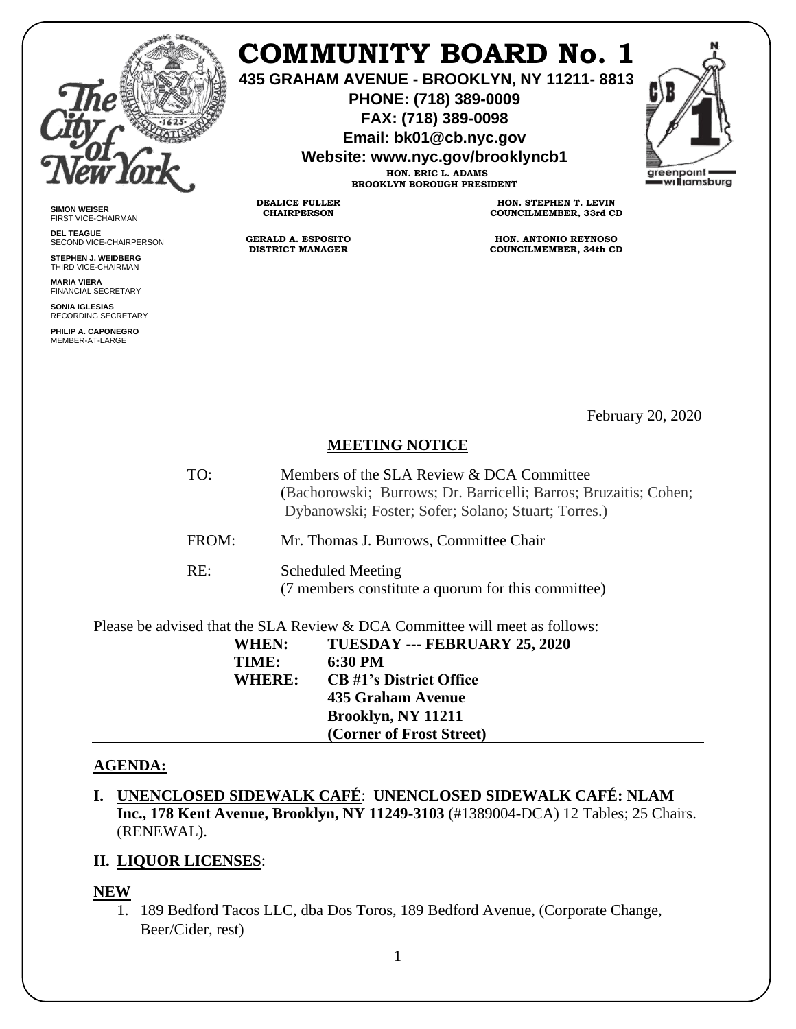

**SIMON WEISER** FIRST VICE-CHAIRMAN **DEL TEAGUE**

SECOND VICE-CHAIRPERSON **STEPHEN J. WEIDBERG** THIRD VICE-CHAIRMAN **MARIA VIERA** FINANCIAL SECRETARY **SONIA IGLESIAS** RECORDING SECRETARY **PHILIP A. CAPONEGRO** MEMBER-AT-LARGE

# **COMMUNITY BOARD No. 1**

**435 GRAHAM AVENUE - BROOKLYN, NY 11211- 8813**

**PHONE: (718) 389-0009 FAX: (718) 389-0098**

**Email: bk01@cb.nyc.gov**

**Website: www.nyc.gov/brooklyncb1**



**HON. ERIC L. ADAMS BROOKLYN BOROUGH PRESIDENT**

**DEALICE FULLER CHAIRPERSON**

**GERALD A. ESPOSITO DISTRICT MANAGER**

**HON. STEPHEN T. LEVIN COUNCILMEMBER, 33rd CD**

**HON. ANTONIO REYNOSO COUNCILMEMBER, 34th CD**

February 20, 2020

## **MEETING NOTICE**

- TO: Members of the SLA Review & DCA Committee (Bachorowski; Burrows; Dr. Barricelli; Barros; Bruzaitis; Cohen; Dybanowski; Foster; Sofer; Solano; Stuart; Torres.)
- FROM: Mr. Thomas J. Burrows, Committee Chair

RE: Scheduled Meeting

(7 members constitute a quorum for this committee)

| Please be advised that the SLA Review & DCA Committee will meet as follows: |                                |
|-----------------------------------------------------------------------------|--------------------------------|
| <b>WHEN:</b>                                                                | TUESDAY --- FEBRUARY 25, 2020  |
| TIME:                                                                       | 6:30 PM                        |
| WHERE:                                                                      | <b>CB</b> #1's District Office |
|                                                                             | 435 Graham Avenue              |
|                                                                             | Brooklyn, NY 11211             |
|                                                                             | (Corner of Frost Street)       |

### **AGENDA:**

**I. UNENCLOSED SIDEWALK CAFÉ**: **UNENCLOSED SIDEWALK CAFÉ: NLAM Inc., 178 Kent Avenue, Brooklyn, NY 11249-3103** (#1389004-DCA) 12 Tables; 25 Chairs. (RENEWAL).

### **II. LIQUOR LICENSES**:

### **NEW**

1. 189 Bedford Tacos LLC, dba Dos Toros, 189 Bedford Avenue, (Corporate Change, Beer/Cider, rest)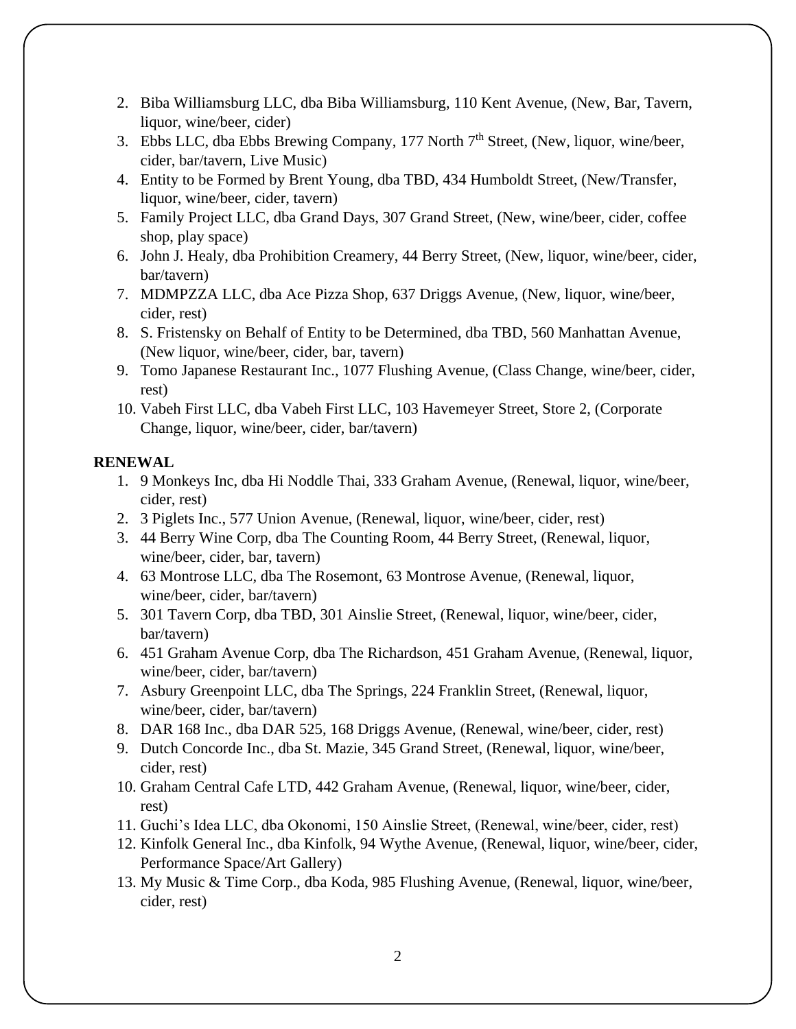- 2. Biba Williamsburg LLC, dba Biba Williamsburg, 110 Kent Avenue, (New, Bar, Tavern, liquor, wine/beer, cider)
- 3. Ebbs LLC, dba Ebbs Brewing Company, 177 North  $7<sup>th</sup>$  Street, (New, liquor, wine/beer, cider, bar/tavern, Live Music)
- 4. Entity to be Formed by Brent Young, dba TBD, 434 Humboldt Street, (New/Transfer, liquor, wine/beer, cider, tavern)
- 5. Family Project LLC, dba Grand Days, 307 Grand Street, (New, wine/beer, cider, coffee shop, play space)
- 6. John J. Healy, dba Prohibition Creamery, 44 Berry Street, (New, liquor, wine/beer, cider, bar/tavern)
- 7. MDMPZZA LLC, dba Ace Pizza Shop, 637 Driggs Avenue, (New, liquor, wine/beer, cider, rest)
- 8. S. Fristensky on Behalf of Entity to be Determined, dba TBD, 560 Manhattan Avenue, (New liquor, wine/beer, cider, bar, tavern)
- 9. Tomo Japanese Restaurant Inc., 1077 Flushing Avenue, (Class Change, wine/beer, cider, rest)
- 10. Vabeh First LLC, dba Vabeh First LLC, 103 Havemeyer Street, Store 2, (Corporate Change, liquor, wine/beer, cider, bar/tavern)

## **RENEWAL**

- 1. 9 Monkeys Inc, dba Hi Noddle Thai, 333 Graham Avenue, (Renewal, liquor, wine/beer, cider, rest)
- 2. 3 Piglets Inc., 577 Union Avenue, (Renewal, liquor, wine/beer, cider, rest)
- 3. 44 Berry Wine Corp, dba The Counting Room, 44 Berry Street, (Renewal, liquor, wine/beer, cider, bar, tavern)
- 4. 63 Montrose LLC, dba The Rosemont, 63 Montrose Avenue, (Renewal, liquor, wine/beer, cider, bar/tavern)
- 5. 301 Tavern Corp, dba TBD, 301 Ainslie Street, (Renewal, liquor, wine/beer, cider, bar/tavern)
- 6. 451 Graham Avenue Corp, dba The Richardson, 451 Graham Avenue, (Renewal, liquor, wine/beer, cider, bar/tavern)
- 7. Asbury Greenpoint LLC, dba The Springs, 224 Franklin Street, (Renewal, liquor, wine/beer, cider, bar/tavern)
- 8. DAR 168 Inc., dba DAR 525, 168 Driggs Avenue, (Renewal, wine/beer, cider, rest)
- 9. Dutch Concorde Inc., dba St. Mazie, 345 Grand Street, (Renewal, liquor, wine/beer, cider, rest)
- 10. Graham Central Cafe LTD, 442 Graham Avenue, (Renewal, liquor, wine/beer, cider, rest)
- 11. Guchi's Idea LLC, dba Okonomi, 150 Ainslie Street, (Renewal, wine/beer, cider, rest)
- 12. Kinfolk General Inc., dba Kinfolk, 94 Wythe Avenue, (Renewal, liquor, wine/beer, cider, Performance Space/Art Gallery)
- 13. My Music & Time Corp., dba Koda, 985 Flushing Avenue, (Renewal, liquor, wine/beer, cider, rest)